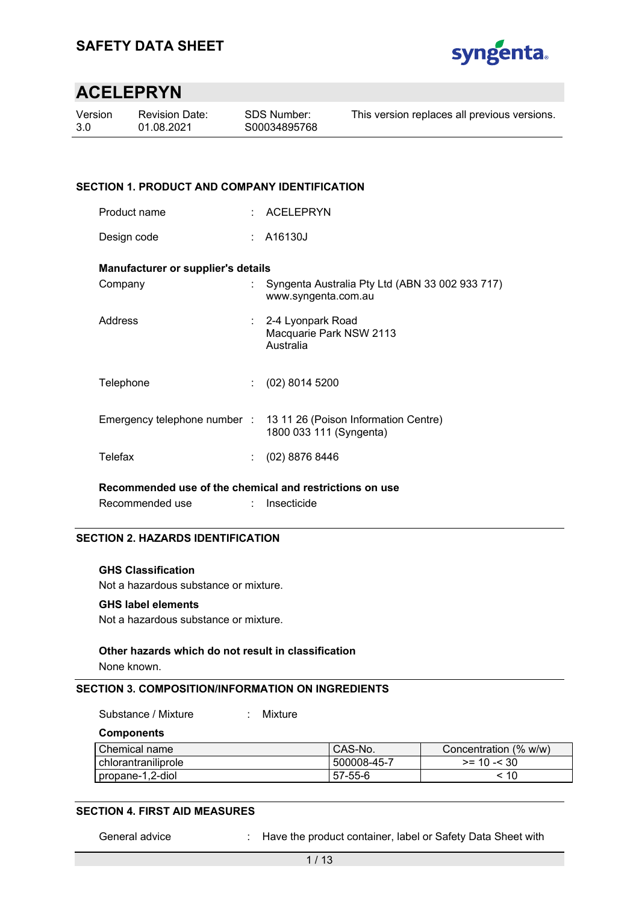

| Version | <b>Revision Date:</b> | SDS Number:  | This version replaces all previous versions. |
|---------|-----------------------|--------------|----------------------------------------------|
| 3.0     | 01.08.2021            | S00034895768 |                                              |
|         |                       |              |                                              |

#### **SECTION 1. PRODUCT AND COMPANY IDENTIFICATION**

| Product name | ACELEPRYN |
|--------------|-----------|
|--------------|-----------|

Design code : A16130J

#### **Manufacturer or supplier's details**

| Company   | : Syngenta Australia Pty Ltd (ABN 33 002 933 717)<br>www.syngenta.com.au                     |
|-----------|----------------------------------------------------------------------------------------------|
| Address   | : 2-4 Lyonpark Road<br>Macquarie Park NSW 2113<br>Australia                                  |
| Telephone | $(02)$ 8014 5200                                                                             |
|           | Emergency telephone number : 13 11 26 (Poison Information Centre)<br>1800 033 111 (Syngenta) |
| Telefax   | (02) 8876 8446                                                                               |

**Recommended use of the chemical and restrictions on use** 

Recommended use : Insecticide

#### **SECTION 2. HAZARDS IDENTIFICATION**

#### **GHS Classification**

Not a hazardous substance or mixture.

#### **GHS label elements**

Not a hazardous substance or mixture.

#### **Other hazards which do not result in classification**

None known.

### **SECTION 3. COMPOSITION/INFORMATION ON INGREDIENTS**

Substance / Mixture : Mixture

**Components** 

| Chemical name         | CAS-No.       | Concentration (% w/w) |
|-----------------------|---------------|-----------------------|
| l chlorantraniliprole | l 500008-45-7 | $>= 10 - 30$          |
| propane-1,2-diol      | 57-55-6       | ะ 10                  |

#### **SECTION 4. FIRST AID MEASURES**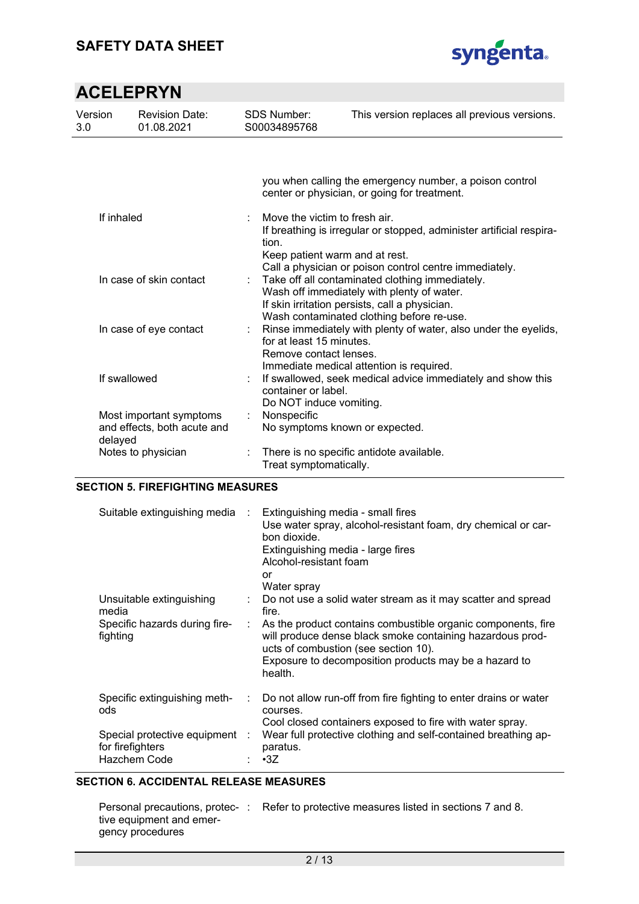

| Version<br>3.0                                                    | <b>Revision Date:</b><br>01.08.2021 | <b>SDS Number:</b><br>S00034895768                                 | This version replaces all previous versions.                                                                                                                                                                                                           |  |  |  |  |
|-------------------------------------------------------------------|-------------------------------------|--------------------------------------------------------------------|--------------------------------------------------------------------------------------------------------------------------------------------------------------------------------------------------------------------------------------------------------|--|--|--|--|
|                                                                   |                                     |                                                                    |                                                                                                                                                                                                                                                        |  |  |  |  |
|                                                                   |                                     |                                                                    | you when calling the emergency number, a poison control<br>center or physician, or going for treatment.                                                                                                                                                |  |  |  |  |
| If inhaled                                                        |                                     | tion.                                                              | Move the victim to fresh air.<br>If breathing is irregular or stopped, administer artificial respira-<br>Keep patient warm and at rest.                                                                                                                |  |  |  |  |
| In case of skin contact                                           |                                     | t.                                                                 | Call a physician or poison control centre immediately.<br>Take off all contaminated clothing immediately.<br>Wash off immediately with plenty of water.<br>If skin irritation persists, call a physician.<br>Wash contaminated clothing before re-use. |  |  |  |  |
| In case of eye contact                                            |                                     | ÷.                                                                 | Rinse immediately with plenty of water, also under the eyelids,<br>for at least 15 minutes.<br>Remove contact lenses.<br>Immediate medical attention is required.                                                                                      |  |  |  |  |
| If swallowed<br>container or label.<br>Do NOT induce vomiting.    |                                     | If swallowed, seek medical advice immediately and show this        |                                                                                                                                                                                                                                                        |  |  |  |  |
| Most important symptoms<br>and effects, both acute and<br>delayed |                                     | t.<br>Nonspecific                                                  | No symptoms known or expected.                                                                                                                                                                                                                         |  |  |  |  |
| Notes to physician                                                |                                     | There is no specific antidote available.<br>Treat symptomatically. |                                                                                                                                                                                                                                                        |  |  |  |  |

### **SECTION 5. FIREFIGHTING MEASURES**

| Suitable extinguishing media                                       | $\sim 10^6$ | Extinguishing media - small fires<br>Use water spray, alcohol-resistant foam, dry chemical or car-<br>bon dioxide.<br>Extinguishing media - large fires<br>Alcohol-resistant foam<br>or<br>Water spray                                |
|--------------------------------------------------------------------|-------------|---------------------------------------------------------------------------------------------------------------------------------------------------------------------------------------------------------------------------------------|
| Unsuitable extinguishing<br>media                                  |             | Do not use a solid water stream as it may scatter and spread<br>fire.                                                                                                                                                                 |
| Specific hazards during fire-<br>fighting                          |             | As the product contains combustible organic components, fire<br>will produce dense black smoke containing hazardous prod-<br>ucts of combustion (see section 10).<br>Exposure to decomposition products may be a hazard to<br>health. |
| Specific extinguishing meth-<br>ods                                |             | Do not allow run-off from fire fighting to enter drains or water<br>courses.<br>Cool closed containers exposed to fire with water spray.                                                                                              |
| Special protective equipment :<br>for firefighters<br>Hazchem Code |             | Wear full protective clothing and self-contained breathing ap-<br>paratus.<br>$\cdot$ 3Z                                                                                                                                              |

### **SECTION 6. ACCIDENTAL RELEASE MEASURES**

|                          | Personal precautions, protec-: Refer to protective measures listed in sections 7 and 8. |
|--------------------------|-----------------------------------------------------------------------------------------|
| tive equipment and emer- |                                                                                         |
| gency procedures         |                                                                                         |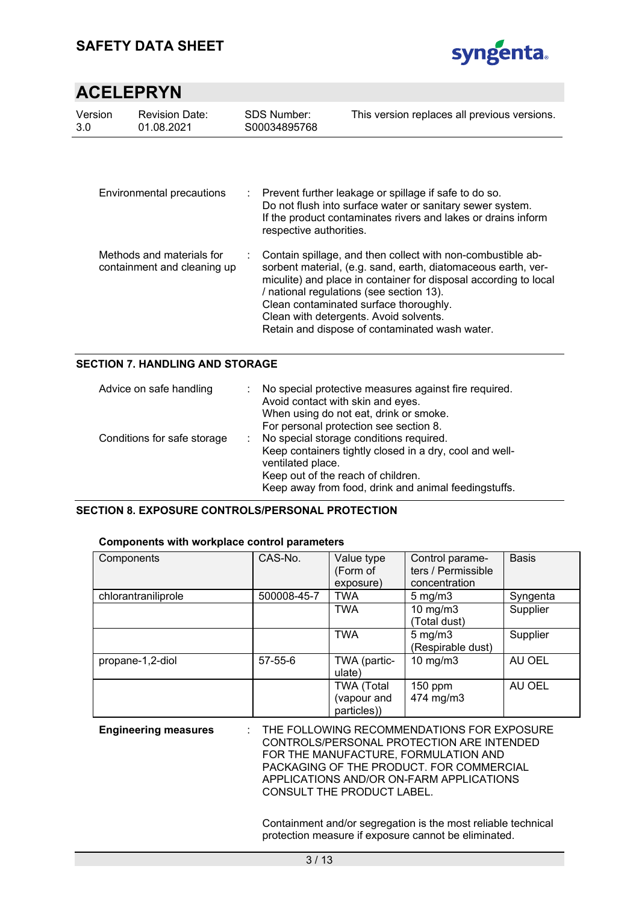

| Version<br>3.0                                           | <b>Revision Date:</b><br>01.08.2021 | <b>SDS Number:</b><br>S00034895768 | This version replaces all previous versions.                                                                                                                                                                                                                                                                                                                                       |
|----------------------------------------------------------|-------------------------------------|------------------------------------|------------------------------------------------------------------------------------------------------------------------------------------------------------------------------------------------------------------------------------------------------------------------------------------------------------------------------------------------------------------------------------|
|                                                          | Environmental precautions           | respective authorities.            | : Prevent further leakage or spillage if safe to do so.<br>Do not flush into surface water or sanitary sewer system.<br>If the product contaminates rivers and lakes or drains inform                                                                                                                                                                                              |
| Methods and materials for<br>containment and cleaning up |                                     |                                    | Contain spillage, and then collect with non-combustible ab-<br>sorbent material, (e.g. sand, earth, diatomaceous earth, ver-<br>miculite) and place in container for disposal according to local<br>/ national regulations (see section 13).<br>Clean contaminated surface thoroughly.<br>Clean with detergents. Avoid solvents.<br>Retain and dispose of contaminated wash water. |

### **SECTION 7. HANDLING AND STORAGE**

| Advice on safe handling     | No special protective measures against fire required.<br>Avoid contact with skin and eyes.<br>When using do not eat, drink or smoke.<br>For personal protection see section 8.                                        |
|-----------------------------|-----------------------------------------------------------------------------------------------------------------------------------------------------------------------------------------------------------------------|
| Conditions for safe storage | No special storage conditions required.<br>Keep containers tightly closed in a dry, cool and well-<br>ventilated place.<br>Keep out of the reach of children.<br>Keep away from food, drink and animal feedingstuffs. |

#### **SECTION 8. EXPOSURE CONTROLS/PERSONAL PROTECTION**

| Components with workplace control parameters |             |                                                 |                                                        |              |  |  |  |
|----------------------------------------------|-------------|-------------------------------------------------|--------------------------------------------------------|--------------|--|--|--|
| Components                                   | CAS-No.     | Value type<br>(Form of<br>exposure)             | Control parame-<br>ters / Permissible<br>concentration | <b>Basis</b> |  |  |  |
| chlorantraniliprole                          | 500008-45-7 | TWA                                             | $5 \text{ mg/m}$                                       | Syngenta     |  |  |  |
|                                              |             | <b>TWA</b>                                      | $10 \text{ mg/m}$<br>Total dust)                       | Supplier     |  |  |  |
|                                              |             | <b>TWA</b>                                      | $5 \text{ mg/m}$<br>(Respirable dust)                  | Supplier     |  |  |  |
| propane-1,2-diol                             | 57-55-6     | TWA (partic-<br>ulate)                          | 10 mg/m $3$                                            | AU OEL       |  |  |  |
|                                              |             | <b>TWA (Total</b><br>(vapour and<br>particles)) | $150$ ppm<br>474 mg/m3                                 | AU OEL       |  |  |  |

#### **Components with workplace control parameters**

| <b>Engineering measures</b> | $\pm$ THE FOLLOWING RECOMMENDATIONS FOR EXPOSURE |
|-----------------------------|--------------------------------------------------|
|                             | CONTROLS/PERSONAL PROTECTION ARE INTENDED        |
|                             | FOR THE MANUFACTURE. FORMULATION AND             |
|                             | PACKAGING OF THE PRODUCT. FOR COMMERCIAL         |
|                             | APPLICATIONS AND/OR ON-FARM APPLICATIONS         |
|                             | CONSULT THE PRODUCT LABEL.                       |

Containment and/or segregation is the most reliable technical protection measure if exposure cannot be eliminated.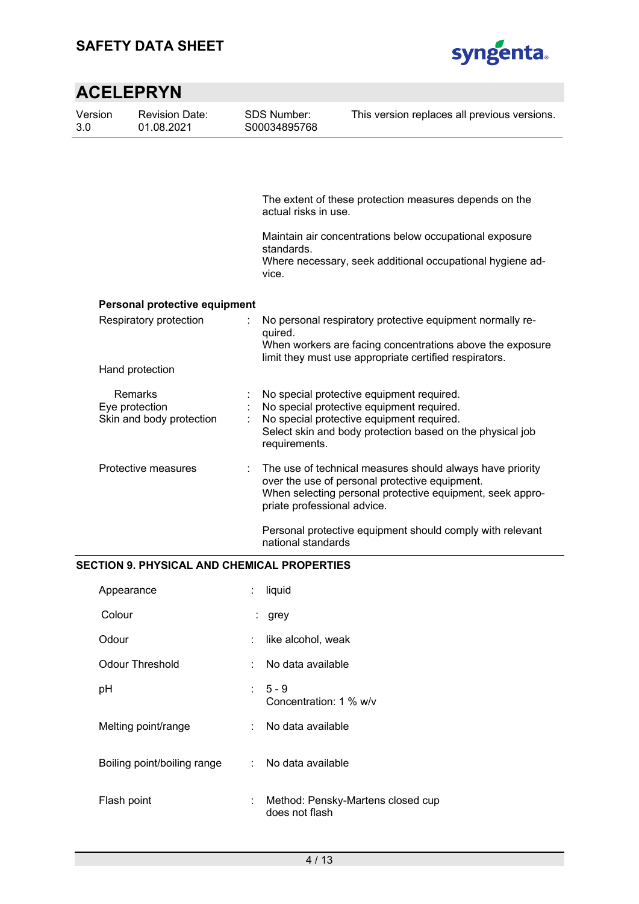

### **ACELEPRYN**  Version 3.0 Revision Date: 01.08.2021 SDS Number: S00034895768 This version replaces all previous versions. The extent of these protection measures depends on the actual risks in use. Maintain air concentrations below occupational exposure standards. Where necessary, seek additional occupational hygiene advice. **Personal protective equipment** Respiratory protection : No personal respiratory protective equipment normally required. When workers are facing concentrations above the exposure limit they must use appropriate certified respirators. Hand protection Remarks : No special protective equipment required. Eye protection : No special protective equipment required. Skin and body protection : No special protective equipment required. Select skin and body protection based on the physical job requirements. Protective measures : The use of technical measures should always have priority over the use of personal protective equipment. When selecting personal protective equipment, seek appropriate professional advice. Personal protective equipment should comply with relevant national standards

#### **SECTION 9. PHYSICAL AND CHEMICAL PROPERTIES**

| Appearance                  | t. | liquid                                              |
|-----------------------------|----|-----------------------------------------------------|
| Colour                      |    | : grey                                              |
| Odour                       | t. | like alcohol, weak                                  |
| <b>Odour Threshold</b>      | t. | No data available                                   |
| pH                          |    | $5 - 9$<br>Concentration: 1 % w/v                   |
| Melting point/range         |    | : No data available                                 |
| Boiling point/boiling range |    | : No data available                                 |
| Flash point                 | t. | Method: Pensky-Martens closed cup<br>does not flash |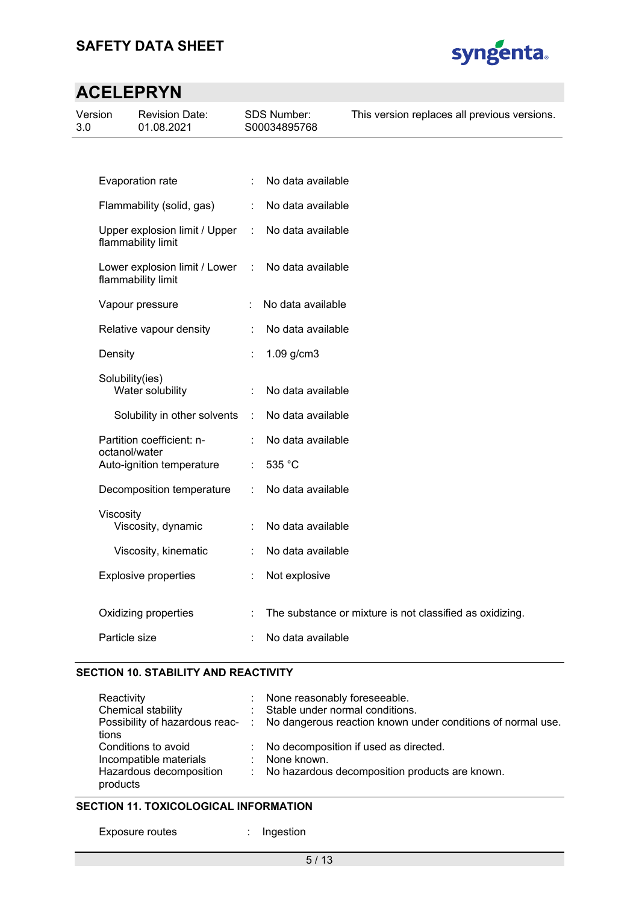

| Version<br>3.0 |                 | <b>Revision Date:</b><br>01.08.2021                 |   | <b>SDS Number:</b><br>S00034895768 | This version replaces all previous versions.             |
|----------------|-----------------|-----------------------------------------------------|---|------------------------------------|----------------------------------------------------------|
|                |                 |                                                     |   |                                    |                                                          |
|                |                 | Evaporation rate                                    |   | No data available                  |                                                          |
|                |                 | Flammability (solid, gas)                           | ÷ | No data available                  |                                                          |
|                |                 | Upper explosion limit / Upper<br>flammability limit | ÷ | No data available                  |                                                          |
|                |                 | Lower explosion limit / Lower<br>flammability limit | t | No data available                  |                                                          |
|                |                 | Vapour pressure                                     |   | No data available                  |                                                          |
|                |                 | Relative vapour density                             |   | No data available                  |                                                          |
|                | Density         |                                                     |   | 1.09 g/cm3                         |                                                          |
|                | Solubility(ies) | Water solubility                                    |   | No data available                  |                                                          |
|                |                 | Solubility in other solvents                        | ÷ | No data available                  |                                                          |
|                | octanol/water   | Partition coefficient: n-                           |   | No data available                  |                                                          |
|                |                 | Auto-ignition temperature                           |   | 535 °C                             |                                                          |
|                |                 | Decomposition temperature                           |   | No data available                  |                                                          |
|                | Viscosity       | Viscosity, dynamic                                  |   | No data available                  |                                                          |
|                |                 | Viscosity, kinematic                                |   | No data available                  |                                                          |
|                |                 | <b>Explosive properties</b>                         |   | Not explosive                      |                                                          |
|                |                 | Oxidizing properties                                |   |                                    | The substance or mixture is not classified as oxidizing. |
|                | Particle size   |                                                     |   | No data available                  |                                                          |

#### **SECTION 10. STABILITY AND REACTIVITY**

| Reactivity                          | : None reasonably foreseeable.                                                               |
|-------------------------------------|----------------------------------------------------------------------------------------------|
| Chemical stability                  | : Stable under normal conditions.                                                            |
|                                     | Possibility of hazardous reac- : No dangerous reaction known under conditions of normal use. |
| tions                               |                                                                                              |
| Conditions to avoid                 | : No decomposition if used as directed.                                                      |
| Incompatible materials              | : None known.                                                                                |
| Hazardous decomposition<br>products | : No hazardous decomposition products are known.                                             |

### **SECTION 11. TOXICOLOGICAL INFORMATION**

Exposure routes : Ingestion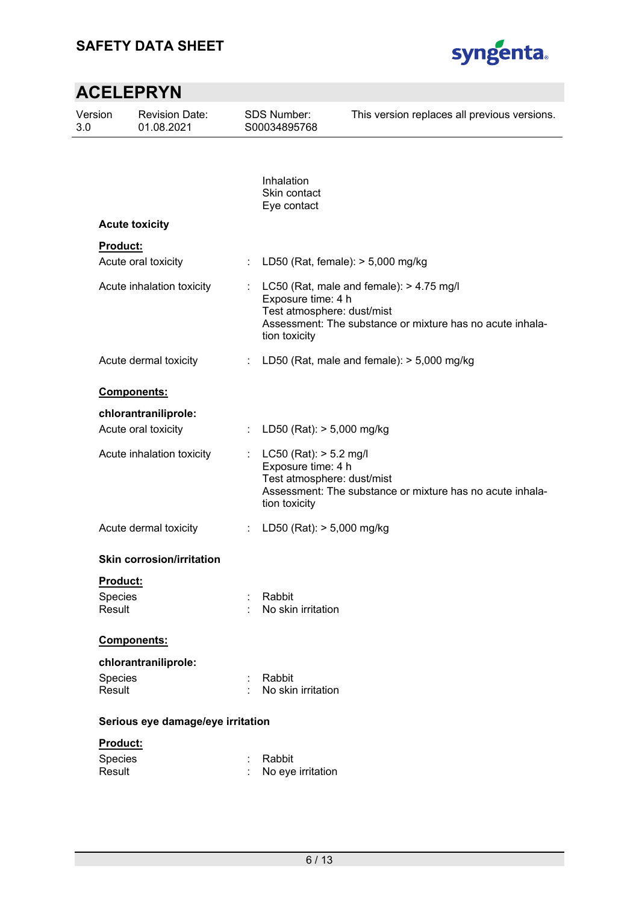

| Version<br>3.0 |                                      | <b>Revision Date:</b><br>01.08.2021 |    | <b>SDS Number:</b><br>S00034895768                                                              | This version replaces all previous versions.                                                            |
|----------------|--------------------------------------|-------------------------------------|----|-------------------------------------------------------------------------------------------------|---------------------------------------------------------------------------------------------------------|
|                |                                      |                                     |    | Inhalation<br>Skin contact<br>Eye contact                                                       |                                                                                                         |
|                | <b>Acute toxicity</b>                |                                     |    |                                                                                                 |                                                                                                         |
|                | <b>Product:</b>                      |                                     |    |                                                                                                 |                                                                                                         |
|                |                                      | Acute oral toxicity                 | ÷  | LD50 (Rat, female): $>$ 5,000 mg/kg                                                             |                                                                                                         |
|                |                                      | Acute inhalation toxicity           |    | Exposure time: 4 h<br>Test atmosphere: dust/mist<br>tion toxicity                               | LC50 (Rat, male and female): $> 4.75$ mg/l<br>Assessment: The substance or mixture has no acute inhala- |
|                |                                      | Acute dermal toxicity               |    |                                                                                                 | LD50 (Rat, male and female): $> 5,000$ mg/kg                                                            |
|                | <b>Components:</b>                   |                                     |    |                                                                                                 |                                                                                                         |
|                |                                      | chlorantraniliprole:                |    |                                                                                                 |                                                                                                         |
|                |                                      | Acute oral toxicity                 | ÷. | LD50 (Rat): > 5,000 mg/kg                                                                       |                                                                                                         |
|                |                                      | Acute inhalation toxicity           |    | $LC50$ (Rat): $> 5.2$ mg/l<br>Exposure time: 4 h<br>Test atmosphere: dust/mist<br>tion toxicity | Assessment: The substance or mixture has no acute inhala-                                               |
|                |                                      | Acute dermal toxicity               | ÷  | LD50 (Rat): > 5,000 mg/kg                                                                       |                                                                                                         |
|                |                                      | <b>Skin corrosion/irritation</b>    |    |                                                                                                 |                                                                                                         |
|                | Product:<br><b>Species</b><br>Result |                                     |    | Rabbit<br>No skin irritation                                                                    |                                                                                                         |
|                | Components:                          |                                     |    |                                                                                                 |                                                                                                         |
|                |                                      | chlorantraniliprole:                |    |                                                                                                 |                                                                                                         |
|                | Species<br>Result                    |                                     |    | Rabbit<br>No skin irritation                                                                    |                                                                                                         |
|                |                                      | Serious eye damage/eye irritation   |    |                                                                                                 |                                                                                                         |
|                | Product:<br>Species<br>Result        |                                     |    | Rabbit<br>No eye irritation                                                                     |                                                                                                         |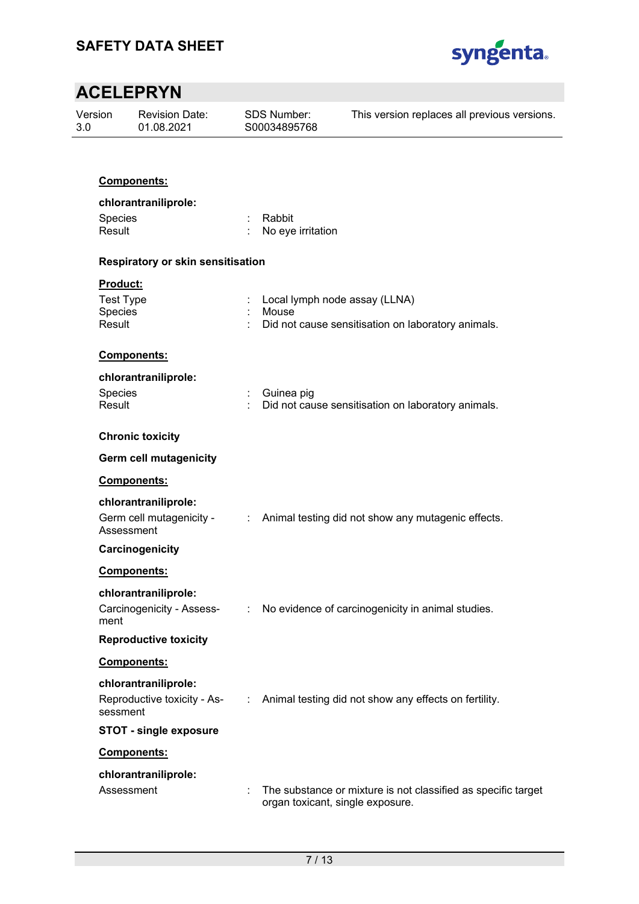

| Version<br>3.0 |                    | <b>Revision Date:</b><br>01.08.2021 |                | <b>SDS Number:</b><br>S00034895768 | This version replaces all previous versions.                  |
|----------------|--------------------|-------------------------------------|----------------|------------------------------------|---------------------------------------------------------------|
|                |                    |                                     |                |                                    |                                                               |
|                |                    | <b>Components:</b>                  |                |                                    |                                                               |
|                |                    | chlorantraniliprole:                |                |                                    |                                                               |
|                | Species            |                                     |                | Rabbit                             |                                                               |
|                | Result             |                                     |                | No eye irritation                  |                                                               |
|                |                    | Respiratory or skin sensitisation   |                |                                    |                                                               |
|                | Product:           |                                     |                |                                    |                                                               |
|                | <b>Test Type</b>   |                                     |                | Local lymph node assay (LLNA)      |                                                               |
|                | Species<br>Result  |                                     |                | Mouse                              |                                                               |
|                |                    |                                     |                |                                    | Did not cause sensitisation on laboratory animals.            |
|                | <b>Components:</b> |                                     |                |                                    |                                                               |
|                |                    | chlorantraniliprole:                |                |                                    |                                                               |
|                | Species            |                                     |                | Guinea pig                         |                                                               |
|                | Result             |                                     |                |                                    | Did not cause sensitisation on laboratory animals.            |
|                |                    | <b>Chronic toxicity</b>             |                |                                    |                                                               |
|                |                    | <b>Germ cell mutagenicity</b>       |                |                                    |                                                               |
|                |                    | Components:                         |                |                                    |                                                               |
|                |                    | chlorantraniliprole:                |                |                                    |                                                               |
|                |                    | Germ cell mutagenicity -            |                |                                    | : Animal testing did not show any mutagenic effects.          |
|                | Assessment         |                                     |                |                                    |                                                               |
|                |                    | Carcinogenicity                     |                |                                    |                                                               |
|                | Components:        |                                     |                |                                    |                                                               |
|                |                    | chlorantraniliprole:                |                |                                    |                                                               |
|                |                    | Carcinogenicity - Assess-           | $\mathbb{R}^n$ |                                    | No evidence of carcinogenicity in animal studies.             |
|                | ment               | <b>Reproductive toxicity</b>        |                |                                    |                                                               |
|                |                    |                                     |                |                                    |                                                               |
|                | Components:        |                                     |                |                                    |                                                               |
|                |                    | chlorantraniliprole:                |                |                                    |                                                               |
|                | sessment           | Reproductive toxicity - As-         |                |                                    | : Animal testing did not show any effects on fertility.       |
|                |                    | <b>STOT - single exposure</b>       |                |                                    |                                                               |
|                | Components:        |                                     |                |                                    |                                                               |
|                |                    | chlorantraniliprole:                |                |                                    |                                                               |
|                | Assessment         |                                     |                | organ toxicant, single exposure.   | The substance or mixture is not classified as specific target |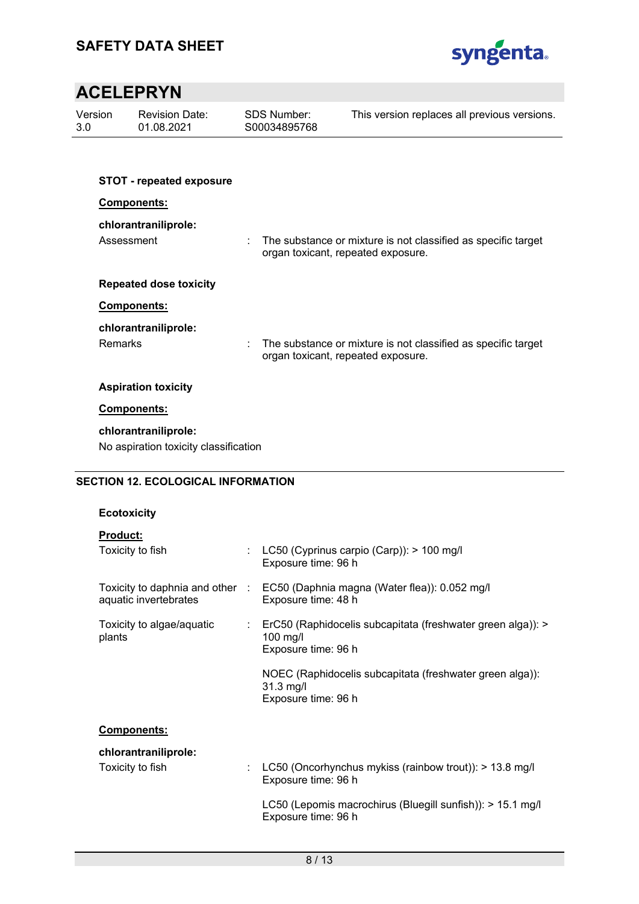

| Version<br>3.0 |                | <b>Revision Date:</b><br>01.08.2021                           |   | <b>SDS Number:</b><br>S00034895768 | This version replaces all previous versions.                  |
|----------------|----------------|---------------------------------------------------------------|---|------------------------------------|---------------------------------------------------------------|
|                |                |                                                               |   |                                    |                                                               |
|                |                | <b>STOT - repeated exposure</b>                               |   |                                    |                                                               |
|                |                | Components:                                                   |   |                                    |                                                               |
|                | Assessment     | chlorantraniliprole:                                          | ÷ | organ toxicant, repeated exposure. | The substance or mixture is not classified as specific target |
|                |                | <b>Repeated dose toxicity</b>                                 |   |                                    |                                                               |
|                |                | Components:                                                   |   |                                    |                                                               |
|                |                | chlorantraniliprole:                                          |   |                                    |                                                               |
|                | <b>Remarks</b> |                                                               |   | organ toxicant, repeated exposure. | The substance or mixture is not classified as specific target |
|                |                | <b>Aspiration toxicity</b>                                    |   |                                    |                                                               |
|                |                | Components:                                                   |   |                                    |                                                               |
|                |                | chlorantraniliprole:<br>No aspiration toxicity classification |   |                                    |                                                               |

### **SECTION 12. ECOLOGICAL INFORMATION**

#### **Ecotoxicity**

| <b>Product:</b>                                          |                                                                                                    |
|----------------------------------------------------------|----------------------------------------------------------------------------------------------------|
| Toxicity to fish                                         | : LC50 (Cyprinus carpio (Carp)): > 100 mg/l<br>Exposure time: 96 h                                 |
| Toxicity to daphnia and other :<br>aquatic invertebrates | EC50 (Daphnia magna (Water flea)): 0.052 mg/l<br>Exposure time: 48 h                               |
| Toxicity to algae/aquatic<br>plants                      | : ErC50 (Raphidocelis subcapitata (freshwater green alga)): ><br>$100$ mg/l<br>Exposure time: 96 h |
|                                                          | NOEC (Raphidocelis subcapitata (freshwater green alga)):<br>$31.3$ mg/l<br>Exposure time: 96 h     |
| <b>Components:</b>                                       |                                                                                                    |
| chlorantraniliprole:                                     |                                                                                                    |
| Toxicity to fish                                         | LC50 (Oncorhynchus mykiss (rainbow trout)): > 13.8 mg/l                                            |

Exposure time: 96 h LC50 (Lepomis macrochirus (Bluegill sunfish)): > 15.1 mg/l Exposure time: 96 h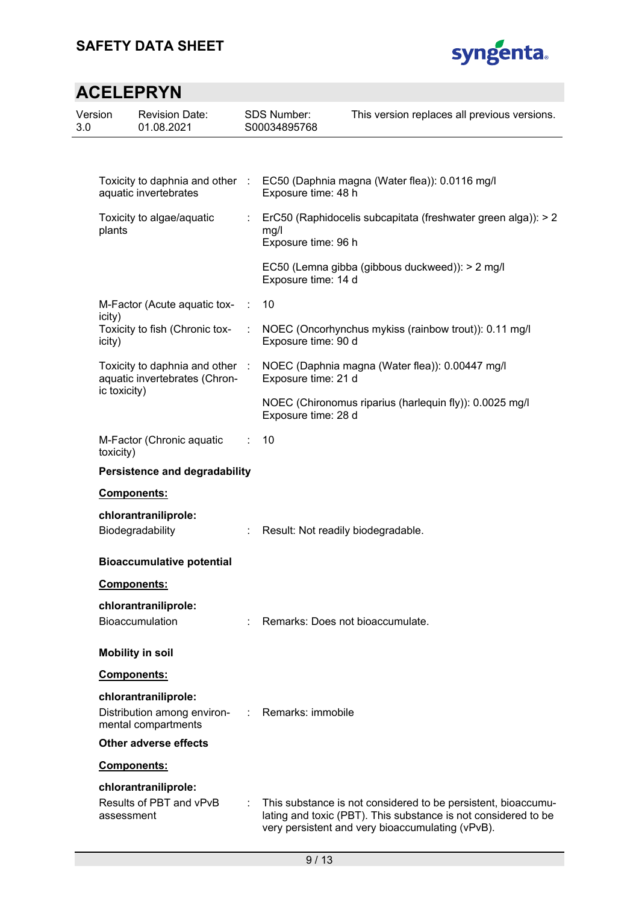

| Version<br>3.0 |              | <b>Revision Date:</b><br>01.08.2021                              |   | <b>SDS Number:</b><br>S00034895768 | This version replaces all previous versions.                                                                                                                                        |
|----------------|--------------|------------------------------------------------------------------|---|------------------------------------|-------------------------------------------------------------------------------------------------------------------------------------------------------------------------------------|
|                |              |                                                                  |   |                                    |                                                                                                                                                                                     |
|                |              | Toxicity to daphnia and other :<br>aquatic invertebrates         |   | Exposure time: 48 h                | EC50 (Daphnia magna (Water flea)): 0.0116 mg/l                                                                                                                                      |
|                | plants       | Toxicity to algae/aquatic                                        |   | mg/l<br>Exposure time: 96 h        | ErC50 (Raphidocelis subcapitata (freshwater green alga)): > 2                                                                                                                       |
|                |              |                                                                  |   | Exposure time: 14 d                | EC50 (Lemna gibba (gibbous duckweed)): > 2 mg/l                                                                                                                                     |
|                | icity)       | M-Factor (Acute aquatic tox-                                     | ÷ | 10                                 |                                                                                                                                                                                     |
|                | icity)       | Toxicity to fish (Chronic tox-                                   | ÷ | Exposure time: 90 d                | NOEC (Oncorhynchus mykiss (rainbow trout)): 0.11 mg/l                                                                                                                               |
|                |              | Toxicity to daphnia and other :<br>aquatic invertebrates (Chron- |   | Exposure time: 21 d                | NOEC (Daphnia magna (Water flea)): 0.00447 mg/l                                                                                                                                     |
|                | ic toxicity) |                                                                  |   | Exposure time: 28 d                | NOEC (Chironomus riparius (harlequin fly)): 0.0025 mg/l                                                                                                                             |
|                | toxicity)    | M-Factor (Chronic aquatic                                        |   | 10                                 |                                                                                                                                                                                     |
|                |              | <b>Persistence and degradability</b>                             |   |                                    |                                                                                                                                                                                     |
|                |              | Components:                                                      |   |                                    |                                                                                                                                                                                     |
|                |              | chlorantraniliprole:<br>Biodegradability                         |   | Result: Not readily biodegradable. |                                                                                                                                                                                     |
|                |              | <b>Bioaccumulative potential</b>                                 |   |                                    |                                                                                                                                                                                     |
|                |              | <b>Components:</b>                                               |   |                                    |                                                                                                                                                                                     |
|                |              | chlorantraniliprole:                                             |   |                                    |                                                                                                                                                                                     |
|                |              | <b>Bioaccumulation</b>                                           |   | Remarks: Does not bioaccumulate    |                                                                                                                                                                                     |
|                |              | <b>Mobility in soil</b>                                          |   |                                    |                                                                                                                                                                                     |
|                |              | <b>Components:</b>                                               |   |                                    |                                                                                                                                                                                     |
|                |              | chlorantraniliprole:                                             |   |                                    |                                                                                                                                                                                     |
|                |              | Distribution among environ-<br>mental compartments               |   | Remarks: immobile                  |                                                                                                                                                                                     |
|                |              | <b>Other adverse effects</b>                                     |   |                                    |                                                                                                                                                                                     |
|                |              | Components:                                                      |   |                                    |                                                                                                                                                                                     |
|                |              | chlorantraniliprole:                                             |   |                                    |                                                                                                                                                                                     |
|                | assessment   | Results of PBT and vPvB                                          |   |                                    | This substance is not considered to be persistent, bioaccumu-<br>lating and toxic (PBT). This substance is not considered to be<br>very persistent and very bioaccumulating (vPvB). |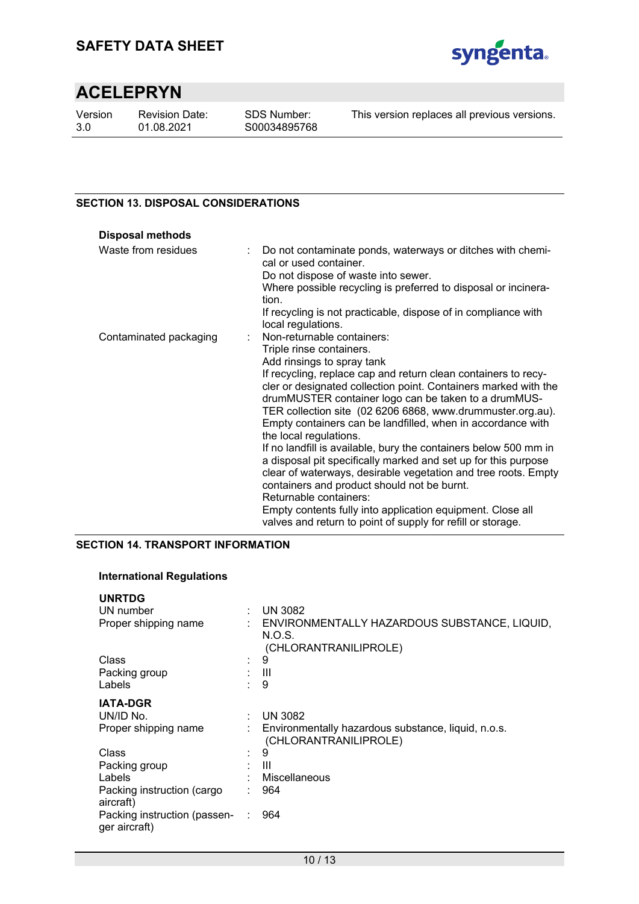

Version 3.0

Revision Date: 01.08.2021

This version replaces all previous versions.

#### **SECTION 13. DISPOSAL CONSIDERATIONS**

| <b>Disposal methods</b> |                                                                                                                                                                                                                                                                                                                                                  |
|-------------------------|--------------------------------------------------------------------------------------------------------------------------------------------------------------------------------------------------------------------------------------------------------------------------------------------------------------------------------------------------|
| Waste from residues     | Do not contaminate ponds, waterways or ditches with chemi-<br>cal or used container.<br>Do not dispose of waste into sewer.<br>Where possible recycling is preferred to disposal or incinera-<br>tion.<br>If recycling is not practicable, dispose of in compliance with                                                                         |
|                         | local regulations.                                                                                                                                                                                                                                                                                                                               |
| Contaminated packaging  | : Non-returnable containers:                                                                                                                                                                                                                                                                                                                     |
|                         | Triple rinse containers.                                                                                                                                                                                                                                                                                                                         |
|                         | Add rinsings to spray tank                                                                                                                                                                                                                                                                                                                       |
|                         | If recycling, replace cap and return clean containers to recy-<br>cler or designated collection point. Containers marked with the<br>drumMUSTER container logo can be taken to a drumMUS-<br>TER collection site (02 6206 6868, www.drummuster.org.au).<br>Empty containers can be landfilled, when in accordance with<br>the local regulations. |
|                         | If no landfill is available, bury the containers below 500 mm in<br>a disposal pit specifically marked and set up for this purpose<br>clear of waterways, desirable vegetation and tree roots. Empty<br>containers and product should not be burnt.<br>Returnable containers:                                                                    |
|                         | Empty contents fully into application equipment. Close all<br>valves and return to point of supply for refill or storage.                                                                                                                                                                                                                        |

#### **SECTION 14. TRANSPORT INFORMATION**

#### **International Regulations**

| <b>UNRTDG</b>                                 |   |                                                                                   |
|-----------------------------------------------|---|-----------------------------------------------------------------------------------|
| UN number                                     |   | $:$ UN 3082                                                                       |
| Proper shipping name                          |   | : ENVIRONMENTALLY HAZARDOUS SUBSTANCE, LIQUID,<br>N.O.S.<br>(CHLORANTRANILIPROLE) |
| Class                                         | ÷ | 9                                                                                 |
| Packing group                                 |   | -III                                                                              |
| Labels                                        |   | 9                                                                                 |
| <b>IATA-DGR</b>                               |   |                                                                                   |
| UN/ID No.                                     |   | <b>UN 3082</b>                                                                    |
| Proper shipping name                          |   | Environmentally hazardous substance, liquid, n.o.s.<br>(CHLORANTRANILIPROLE)      |
| Class                                         |   | 9                                                                                 |
| Packing group                                 |   | : III                                                                             |
| Labels                                        |   | : Miscellaneous                                                                   |
| Packing instruction (cargo<br>aircraft)       |   | 964                                                                               |
| Packing instruction (passen-<br>ger aircraft) |   | 964                                                                               |
|                                               |   |                                                                                   |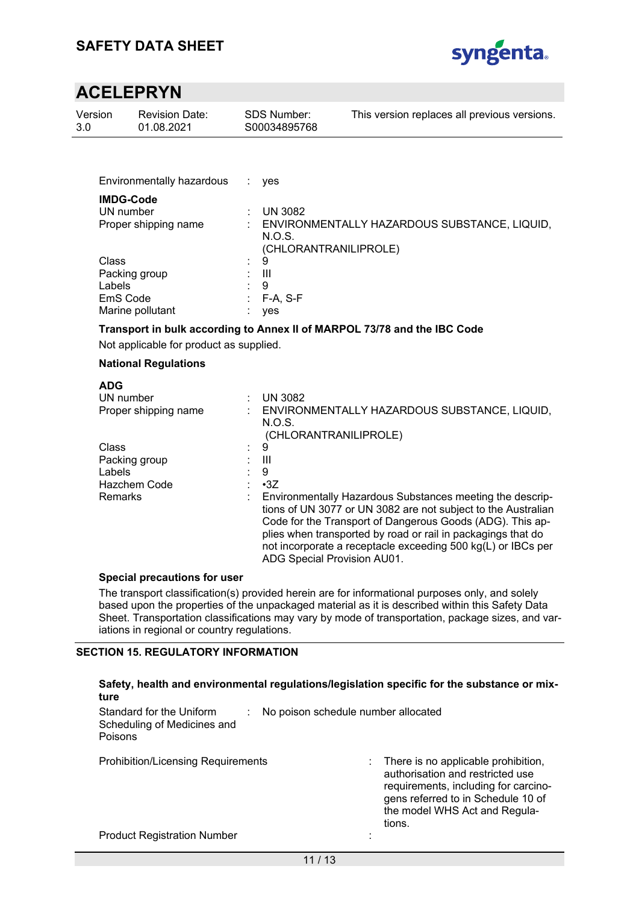

| Version<br>3.0 | <b>Revision Date:</b><br>01.08.2021                                                                                 | SDS Number:<br>S00034895768                 |                                     | This version replaces all previous versions.                                                                                                                                                                                                                                                                            |
|----------------|---------------------------------------------------------------------------------------------------------------------|---------------------------------------------|-------------------------------------|-------------------------------------------------------------------------------------------------------------------------------------------------------------------------------------------------------------------------------------------------------------------------------------------------------------------------|
|                |                                                                                                                     |                                             |                                     |                                                                                                                                                                                                                                                                                                                         |
|                | Environmentally hazardous                                                                                           | ÷.<br>yes                                   |                                     |                                                                                                                                                                                                                                                                                                                         |
|                | <b>IMDG-Code</b><br>UN number<br>Proper shipping name                                                               | <b>UN 3082</b><br>N.O.S.                    |                                     | ENVIRONMENTALLY HAZARDOUS SUBSTANCE, LIQUID,                                                                                                                                                                                                                                                                            |
|                | Class<br>Packing group<br>Labels<br>EmS Code<br>Marine pollutant                                                    | 9<br>$\mathbf{III}$<br>9<br>F-A, S-F<br>yes | (CHLORANTRANILIPROLE)               |                                                                                                                                                                                                                                                                                                                         |
|                | Transport in bulk according to Annex II of MARPOL 73/78 and the IBC Code<br>Not applicable for product as supplied. |                                             |                                     |                                                                                                                                                                                                                                                                                                                         |
|                | <b>National Regulations</b>                                                                                         |                                             |                                     |                                                                                                                                                                                                                                                                                                                         |
|                | <b>ADG</b><br>UN number<br>Proper shipping name                                                                     | <b>UN 3082</b><br>N.O.S.                    | (CHLORANTRANILIPROLE)               | ENVIRONMENTALLY HAZARDOUS SUBSTANCE, LIQUID,                                                                                                                                                                                                                                                                            |
|                | Class<br>Packing group<br>Labels<br>Hazchem Code<br>Remarks                                                         | 9<br>$\mathbf{III}$<br>9<br>$-3Z$           | ADG Special Provision AU01.         | Environmentally Hazardous Substances meeting the descrip-<br>tions of UN 3077 or UN 3082 are not subject to the Australian<br>Code for the Transport of Dangerous Goods (ADG). This ap-<br>plies when transported by road or rail in packagings that do<br>not incorporate a receptacle exceeding 500 kg(L) or IBCs per |
|                | <b>Special precautions for user</b>                                                                                 |                                             |                                     |                                                                                                                                                                                                                                                                                                                         |
|                | iations in regional or country regulations.                                                                         |                                             |                                     | The transport classification(s) provided herein are for informational purposes only, and solely<br>based upon the properties of the unpackaged material as it is described within this Safety Data<br>Sheet. Transportation classifications may vary by mode of transportation, package sizes, and var-                 |
|                | <b>SECTION 15. REGULATORY INFORMATION</b>                                                                           |                                             |                                     | Safety, health and environmental regulations/legislation specific for the substance or mix-                                                                                                                                                                                                                             |
|                | ture<br>Standard for the Uniform<br>Scheduling of Medicines and<br>Poisons                                          |                                             | No poison schedule number allocated |                                                                                                                                                                                                                                                                                                                         |
|                | <b>Prohibition/Licensing Requirements</b>                                                                           |                                             |                                     | There is no applicable prohibition,<br>authorisation and restricted use<br>requirements, including for carcino-                                                                                                                                                                                                         |

gens referred to in Schedule 10 of the model WHS Act and Regula-

tions.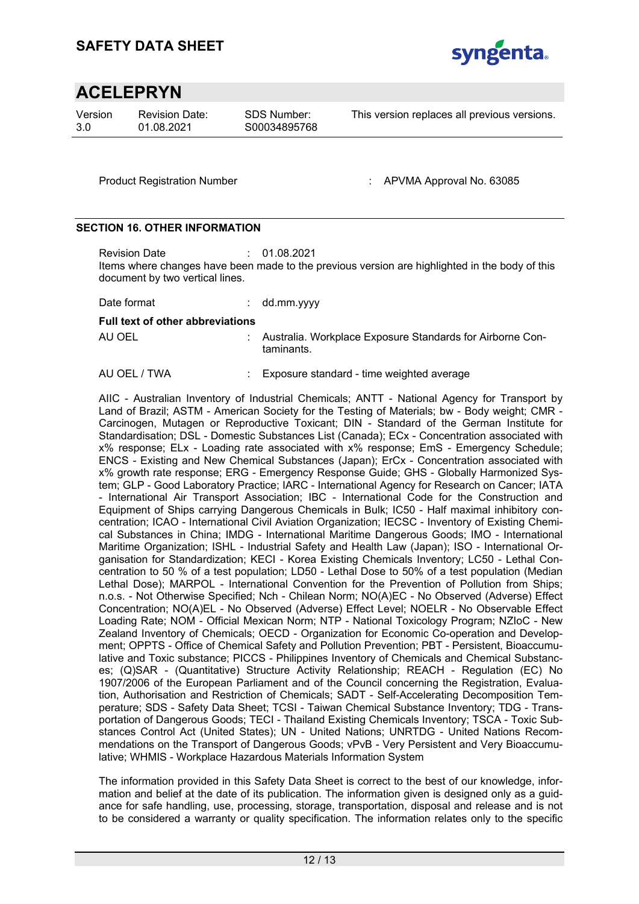

Version 3.0

Revision Date: 01.08.2021

SDS Number: S00034895768 This version replaces all previous versions.

Product Registration Number : APVMA Approval No. 63085

#### **SECTION 16. OTHER INFORMATION**

Revision Date : 01.08.2021 Items where changes have been made to the previous version are highlighted in the body of this document by two vertical lines.

| Date format                             | $:$ dd.mm.yyyy                                                            |
|-----------------------------------------|---------------------------------------------------------------------------|
| <b>Full text of other abbreviations</b> |                                                                           |
| AU OEL                                  | : Australia. Workplace Exposure Standards for Airborne Con-<br>taminants. |

AU OEL / TWA : Exposure standard - time weighted average

AIIC - Australian Inventory of Industrial Chemicals; ANTT - National Agency for Transport by Land of Brazil; ASTM - American Society for the Testing of Materials; bw - Body weight; CMR - Carcinogen, Mutagen or Reproductive Toxicant; DIN - Standard of the German Institute for Standardisation; DSL - Domestic Substances List (Canada); ECx - Concentration associated with x% response; ELx - Loading rate associated with x% response; EmS - Emergency Schedule; ENCS - Existing and New Chemical Substances (Japan); ErCx - Concentration associated with x% growth rate response; ERG - Emergency Response Guide; GHS - Globally Harmonized System; GLP - Good Laboratory Practice; IARC - International Agency for Research on Cancer; IATA - International Air Transport Association; IBC - International Code for the Construction and Equipment of Ships carrying Dangerous Chemicals in Bulk; IC50 - Half maximal inhibitory concentration; ICAO - International Civil Aviation Organization; IECSC - Inventory of Existing Chemical Substances in China; IMDG - International Maritime Dangerous Goods; IMO - International Maritime Organization; ISHL - Industrial Safety and Health Law (Japan); ISO - International Organisation for Standardization; KECI - Korea Existing Chemicals Inventory; LC50 - Lethal Concentration to 50 % of a test population; LD50 - Lethal Dose to 50% of a test population (Median Lethal Dose); MARPOL - International Convention for the Prevention of Pollution from Ships; n.o.s. - Not Otherwise Specified; Nch - Chilean Norm; NO(A)EC - No Observed (Adverse) Effect Concentration; NO(A)EL - No Observed (Adverse) Effect Level; NOELR - No Observable Effect Loading Rate; NOM - Official Mexican Norm; NTP - National Toxicology Program; NZIoC - New Zealand Inventory of Chemicals; OECD - Organization for Economic Co-operation and Development; OPPTS - Office of Chemical Safety and Pollution Prevention; PBT - Persistent, Bioaccumulative and Toxic substance; PICCS - Philippines Inventory of Chemicals and Chemical Substances; (Q)SAR - (Quantitative) Structure Activity Relationship; REACH - Regulation (EC) No 1907/2006 of the European Parliament and of the Council concerning the Registration, Evaluation, Authorisation and Restriction of Chemicals; SADT - Self-Accelerating Decomposition Temperature; SDS - Safety Data Sheet; TCSI - Taiwan Chemical Substance Inventory; TDG - Transportation of Dangerous Goods; TECI - Thailand Existing Chemicals Inventory; TSCA - Toxic Substances Control Act (United States); UN - United Nations; UNRTDG - United Nations Recommendations on the Transport of Dangerous Goods; vPvB - Very Persistent and Very Bioaccumulative; WHMIS - Workplace Hazardous Materials Information System

The information provided in this Safety Data Sheet is correct to the best of our knowledge, information and belief at the date of its publication. The information given is designed only as a guidance for safe handling, use, processing, storage, transportation, disposal and release and is not to be considered a warranty or quality specification. The information relates only to the specific